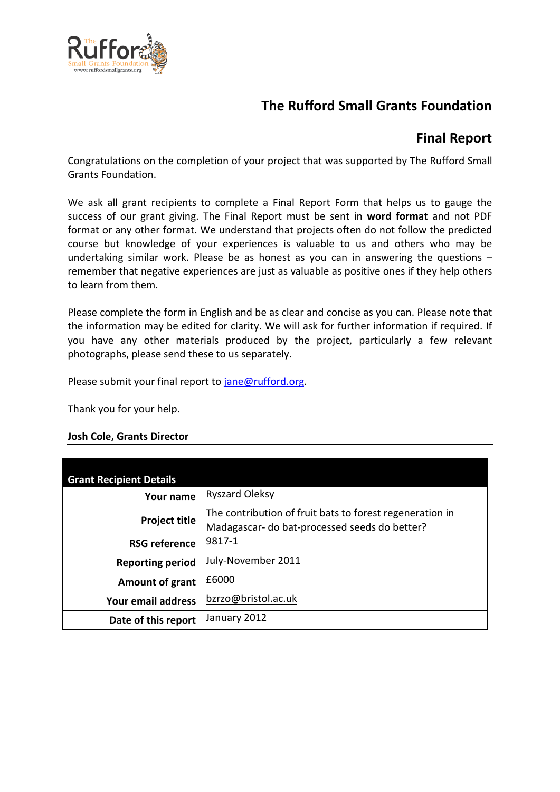

# **The Rufford Small Grants Foundation**

## **Final Report**

Congratulations on the completion of your project that was supported by The Rufford Small Grants Foundation.

We ask all grant recipients to complete a Final Report Form that helps us to gauge the success of our grant giving. The Final Report must be sent in **word format** and not PDF format or any other format. We understand that projects often do not follow the predicted course but knowledge of your experiences is valuable to us and others who may be undertaking similar work. Please be as honest as you can in answering the questions – remember that negative experiences are just as valuable as positive ones if they help others to learn from them.

Please complete the form in English and be as clear and concise as you can. Please note that the information may be edited for clarity. We will ask for further information if required. If you have any other materials produced by the project, particularly a few relevant photographs, please send these to us separately.

Please submit your final report to [jane@rufford.org.](mailto:jane@rufford.org)

Thank you for your help.

## **Josh Cole, Grants Director**

| <b>Grant Recipient Details</b> |                                                                                                           |
|--------------------------------|-----------------------------------------------------------------------------------------------------------|
| Your name                      | <b>Ryszard Oleksy</b>                                                                                     |
| <b>Project title</b>           | The contribution of fruit bats to forest regeneration in<br>Madagascar- do bat-processed seeds do better? |
| <b>RSG reference</b>           | 9817-1                                                                                                    |
| <b>Reporting period</b>        | July-November 2011                                                                                        |
| Amount of grant                | £6000                                                                                                     |
| Your email address             | bzrzo@bristol.ac.uk                                                                                       |
| Date of this report            | January 2012                                                                                              |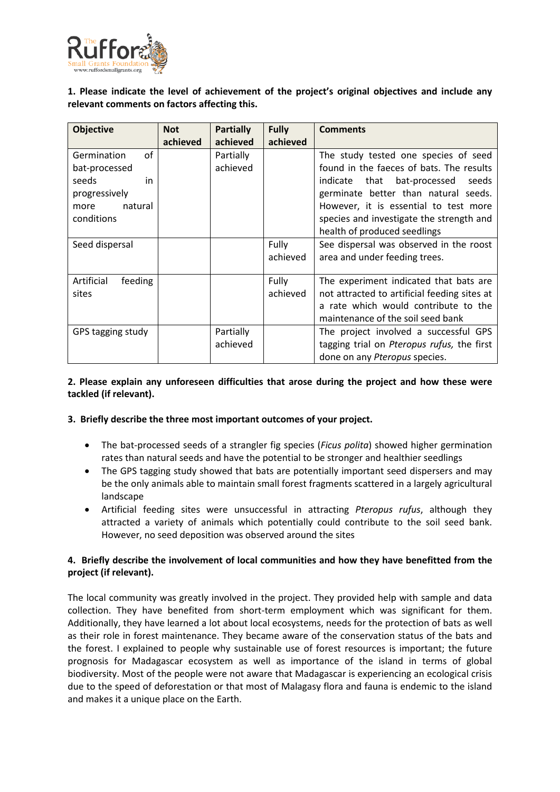

## **1. Please indicate the level of achievement of the project's original objectives and include any relevant comments on factors affecting this.**

| <b>Objective</b>                                                                                    | <b>Not</b><br>achieved | <b>Partially</b><br>achieved | <b>Fully</b><br>achieved | <b>Comments</b>                                                                                                                                                                                                                                                                          |
|-----------------------------------------------------------------------------------------------------|------------------------|------------------------------|--------------------------|------------------------------------------------------------------------------------------------------------------------------------------------------------------------------------------------------------------------------------------------------------------------------------------|
| Germination<br>οf<br>bat-processed<br>seeds<br>in<br>progressively<br>natural<br>more<br>conditions |                        | Partially<br>achieved        |                          | The study tested one species of seed<br>found in the faeces of bats. The results<br>indicate that<br>bat-processed<br>seeds<br>germinate better than natural seeds.<br>However, it is essential to test more<br>species and investigate the strength and<br>health of produced seedlings |
| Seed dispersal                                                                                      |                        |                              | Fully<br>achieved        | See dispersal was observed in the roost<br>area and under feeding trees.                                                                                                                                                                                                                 |
| Artificial<br>feeding<br>sites                                                                      |                        |                              | Fully<br>achieved        | The experiment indicated that bats are<br>not attracted to artificial feeding sites at<br>a rate which would contribute to the<br>maintenance of the soil seed bank                                                                                                                      |
| GPS tagging study                                                                                   |                        | Partially<br>achieved        |                          | The project involved a successful GPS<br>tagging trial on Pteropus rufus, the first<br>done on any <i>Pteropus</i> species.                                                                                                                                                              |

## **2. Please explain any unforeseen difficulties that arose during the project and how these were tackled (if relevant).**

#### **3. Briefly describe the three most important outcomes of your project.**

- The bat-processed seeds of a strangler fig species (*Ficus polita*) showed higher germination rates than natural seeds and have the potential to be stronger and healthier seedlings
- The GPS tagging study showed that bats are potentially important seed dispersers and may be the only animals able to maintain small forest fragments scattered in a largely agricultural landscape
- Artificial feeding sites were unsuccessful in attracting *Pteropus rufus*, although they attracted a variety of animals which potentially could contribute to the soil seed bank. However, no seed deposition was observed around the sites

## **4. Briefly describe the involvement of local communities and how they have benefitted from the project (if relevant).**

The local community was greatly involved in the project. They provided help with sample and data collection. They have benefited from short-term employment which was significant for them. Additionally, they have learned a lot about local ecosystems, needs for the protection of bats as well as their role in forest maintenance. They became aware of the conservation status of the bats and the forest. I explained to people why sustainable use of forest resources is important; the future prognosis for Madagascar ecosystem as well as importance of the island in terms of global biodiversity. Most of the people were not aware that Madagascar is experiencing an ecological crisis due to the speed of deforestation or that most of Malagasy flora and fauna is endemic to the island and makes it a unique place on the Earth.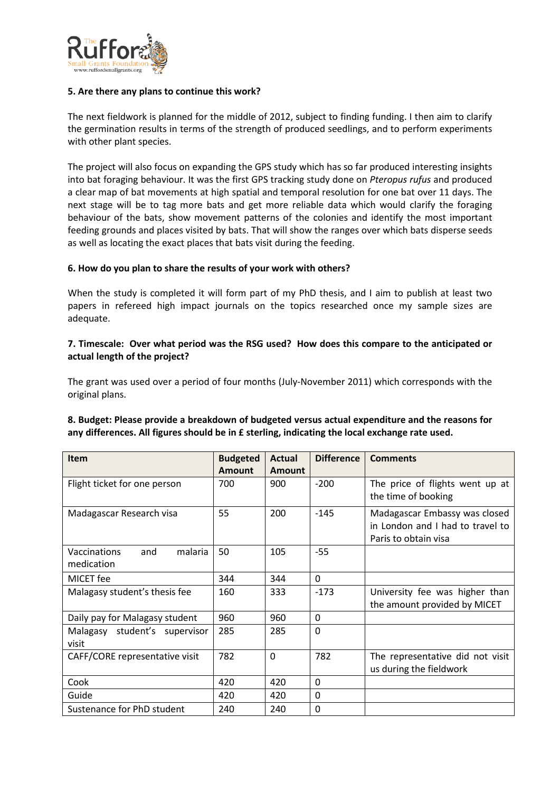

#### **5. Are there any plans to continue this work?**

The next fieldwork is planned for the middle of 2012, subject to finding funding. I then aim to clarify the germination results in terms of the strength of produced seedlings, and to perform experiments with other plant species.

The project will also focus on expanding the GPS study which has so far produced interesting insights into bat foraging behaviour. It was the first GPS tracking study done on *Pteropus rufus* and produced a clear map of bat movements at high spatial and temporal resolution for one bat over 11 days. The next stage will be to tag more bats and get more reliable data which would clarify the foraging behaviour of the bats, show movement patterns of the colonies and identify the most important feeding grounds and places visited by bats. That will show the ranges over which bats disperse seeds as well as locating the exact places that bats visit during the feeding.

#### **6. How do you plan to share the results of your work with others?**

When the study is completed it will form part of my PhD thesis, and I aim to publish at least two papers in refereed high impact journals on the topics researched once my sample sizes are adequate.

## **7. Timescale: Over what period was the RSG used? How does this compare to the anticipated or actual length of the project?**

The grant was used over a period of four months (July-November 2011) which corresponds with the original plans.

## **8. Budget: Please provide a breakdown of budgeted versus actual expenditure and the reasons for any differences. All figures should be in £ sterling, indicating the local exchange rate used.**

| <b>Item</b>                                  | <b>Budgeted</b> | Actual        | <b>Difference</b> | <b>Comments</b>                                                                           |
|----------------------------------------------|-----------------|---------------|-------------------|-------------------------------------------------------------------------------------------|
|                                              | <b>Amount</b>   | <b>Amount</b> |                   |                                                                                           |
| Flight ticket for one person                 | 700             | 900           | $-200$            | The price of flights went up at<br>the time of booking                                    |
| Madagascar Research visa                     | 55              | 200           | $-145$            | Madagascar Embassy was closed<br>in London and I had to travel to<br>Paris to obtain visa |
| malaria<br>Vaccinations<br>and<br>medication | 50              | 105           | $-55$             |                                                                                           |
| MICET fee                                    | 344             | 344           | $\Omega$          |                                                                                           |
| Malagasy student's thesis fee                | 160             | 333           | $-173$            | University fee was higher than<br>the amount provided by MICET                            |
| Daily pay for Malagasy student               | 960             | 960           | 0                 |                                                                                           |
| Malagasy student's supervisor<br>visit       | 285             | 285           | $\mathbf{0}$      |                                                                                           |
| CAFF/CORE representative visit               | 782             | $\Omega$      | 782               | The representative did not visit<br>us during the fieldwork                               |
| Cook                                         | 420             | 420           | 0                 |                                                                                           |
| Guide                                        | 420             | 420           | 0                 |                                                                                           |
| Sustenance for PhD student                   | 240             | 240           | 0                 |                                                                                           |